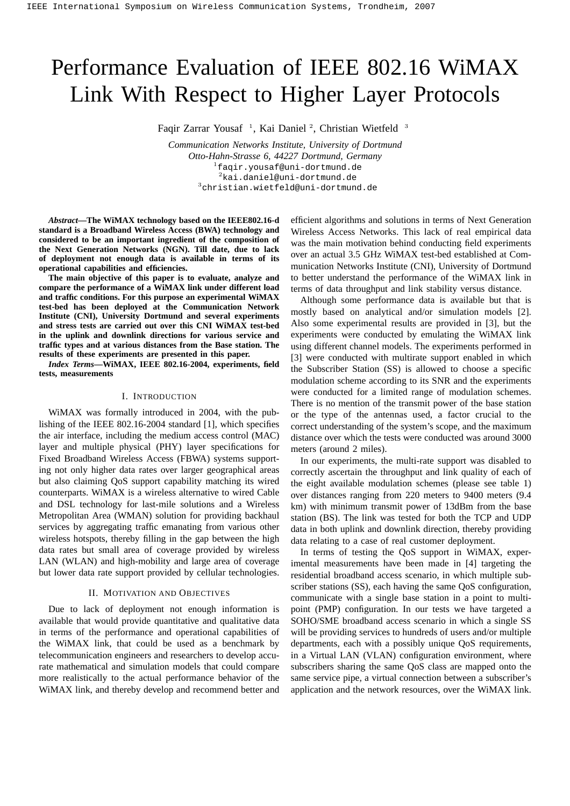# Performance Evaluation of IEEE 802.16 WiMAX Link With Respect to Higher Layer Protocols

Faqir Zarrar Yousaf<sup>1</sup>, Kai Daniel<sup>2</sup>, Christian Wietfeld<sup>3</sup>

*Communication Networks Institute, University of Dortmund Otto-Hahn-Strasse 6, 44227 Dortmund, Germany* <sup>1</sup>faqir.yousaf@uni-dortmund.de <sup>2</sup>kai.daniel@uni-dortmund.de <sup>3</sup>christian.wietfeld@uni-dortmund.de

*Abstract***—The WiMAX technology based on the IEEE802.16-d standard is a Broadband Wireless Access (BWA) technology and considered to be an important ingredient of the composition of the Next Generation Networks (NGN). Till date, due to lack of deployment not enough data is available in terms of its operational capabilities and efficiencies.**

**The main objective of this paper is to evaluate, analyze and compare the performance of a WiMAX link under different load and traffic conditions. For this purpose an experimental WiMAX test-bed has been deployed at the Communication Network Institute (CNI), University Dortmund and several experiments and stress tests are carried out over this CNI WiMAX test-bed in the uplink and downlink directions for various service and traffic types and at various distances from the Base station. The results of these experiments are presented in this paper.**

*Index Terms***—WiMAX, IEEE 802.16-2004, experiments, field tests, measurements**

#### I. INTRODUCTION

WiMAX was formally introduced in 2004, with the publishing of the IEEE 802.16-2004 standard [1], which specifies the air interface, including the medium access control (MAC) layer and multiple physical (PHY) layer specifications for Fixed Broadband Wireless Access (FBWA) systems supporting not only higher data rates over larger geographical areas but also claiming QoS support capability matching its wired counterparts. WiMAX is a wireless alternative to wired Cable and DSL technology for last-mile solutions and a Wireless Metropolitan Area (WMAN) solution for providing backhaul services by aggregating traffic emanating from various other wireless hotspots, thereby filling in the gap between the high data rates but small area of coverage provided by wireless LAN (WLAN) and high-mobility and large area of coverage but lower data rate support provided by cellular technologies.

### II. MOTIVATION AND OBJECTIVES

Due to lack of deployment not enough information is available that would provide quantitative and qualitative data in terms of the performance and operational capabilities of the WiMAX link, that could be used as a benchmark by telecommunication engineers and researchers to develop accurate mathematical and simulation models that could compare more realistically to the actual performance behavior of the WiMAX link, and thereby develop and recommend better and

efficient algorithms and solutions in terms of Next Generation Wireless Access Networks. This lack of real empirical data was the main motivation behind conducting field experiments over an actual 3.5 GHz WiMAX test-bed established at Communication Networks Institute (CNI), University of Dortmund to better understand the performance of the WiMAX link in terms of data throughput and link stability versus distance.

Although some performance data is available but that is mostly based on analytical and/or simulation models [2]. Also some experimental results are provided in [3], but the experiments were conducted by emulating the WiMAX link using different channel models. The experiments performed in [3] were conducted with multirate support enabled in which the Subscriber Station (SS) is allowed to choose a specific modulation scheme according to its SNR and the experiments were conducted for a limited range of modulation schemes. There is no mention of the transmit power of the base station or the type of the antennas used, a factor crucial to the correct understanding of the system's scope, and the maximum distance over which the tests were conducted was around 3000 meters (around 2 miles).

In our experiments, the multi-rate support was disabled to correctly ascertain the throughput and link quality of each of the eight available modulation schemes (please see table 1) over distances ranging from 220 meters to 9400 meters (9.4 km) with minimum transmit power of 13dBm from the base station (BS). The link was tested for both the TCP and UDP data in both uplink and downlink direction, thereby providing data relating to a case of real customer deployment.

In terms of testing the QoS support in WiMAX, experimental measurements have been made in [4] targeting the residential broadband access scenario, in which multiple subscriber stations (SS), each having the same QoS configuration, communicate with a single base station in a point to multipoint (PMP) configuration. In our tests we have targeted a SOHO/SME broadband access scenario in which a single SS will be providing services to hundreds of users and/or multiple departments, each with a possibly unique QoS requirements, in a Virtual LAN (VLAN) configuration environment, where subscribers sharing the same QoS class are mapped onto the same service pipe, a virtual connection between a subscriber's application and the network resources, over the WiMAX link.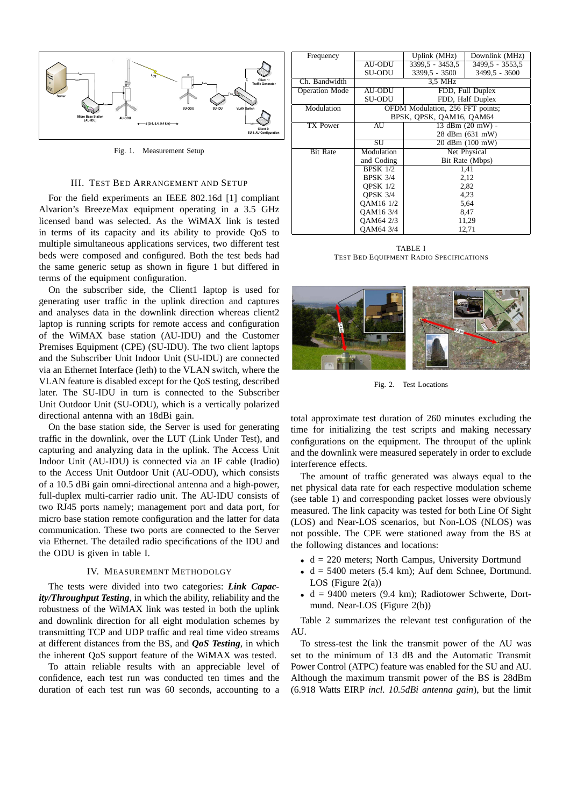

Fig. 1. Measurement Setup

# III. TEST BED ARRANGEMENT AND SETUP

For the field experiments an IEEE 802.16d [1] compliant Alvarion's BreezeMax equipment operating in a 3.5 GHz licensed band was selected. As the WiMAX link is tested in terms of its capacity and its ability to provide QoS to multiple simultaneous applications services, two different test beds were composed and configured. Both the test beds had the same generic setup as shown in figure 1 but differed in terms of the equipment configuration.

On the subscriber side, the Client1 laptop is used for generating user traffic in the uplink direction and captures and analyses data in the downlink direction whereas client2 laptop is running scripts for remote access and configuration of the WiMAX base station (AU-IDU) and the Customer Premises Equipment (CPE) (SU-IDU). The two client laptops and the Subscriber Unit Indoor Unit (SU-IDU) are connected via an Ethernet Interface (Ieth) to the VLAN switch, where the VLAN feature is disabled except for the QoS testing, described later. The SU-IDU in turn is connected to the Subscriber Unit Outdoor Unit (SU-ODU), which is a vertically polarized directional antenna with an 18dBi gain.

On the base station side, the Server is used for generating traffic in the downlink, over the LUT (Link Under Test), and capturing and analyzing data in the uplink. The Access Unit Indoor Unit (AU-IDU) is connected via an IF cable (Iradio) to the Access Unit Outdoor Unit (AU-ODU), which consists of a 10.5 dBi gain omni-directional antenna and a high-power, full-duplex multi-carrier radio unit. The AU-IDU consists of two RJ45 ports namely; management port and data port, for micro base station remote configuration and the latter for data communication. These two ports are connected to the Server via Ethernet. The detailed radio specifications of the IDU and the ODU is given in table I.

#### IV. MEASUREMENT METHODOLGY

The tests were divided into two categories: *Link Capacity/Throughput Testing*, in which the ability, reliability and the robustness of the WiMAX link was tested in both the uplink and downlink direction for all eight modulation schemes by transmitting TCP and UDP traffic and real time video streams at different distances from the BS, and *QoS Testing*, in which the inherent QoS support feature of the WiMAX was tested.

To attain reliable results with an appreciable level of confidence, each test run was conducted ten times and the duration of each test run was 60 seconds, accounting to a

| Frequency             |                                  | Uplink (MHz)<br>Downlink (MHz) |                 |  |  |  |
|-----------------------|----------------------------------|--------------------------------|-----------------|--|--|--|
|                       | AU-ODU                           | $3399.5 - 3453.5$              | 3499.5 - 3553.5 |  |  |  |
|                       | SU-ODU                           | 3399,5 - 3500                  | 3499,5 - 3600   |  |  |  |
| Ch. Bandwidth         | 3.5 MHz                          |                                |                 |  |  |  |
| <b>Operation Mode</b> | <b>AU-ODU</b>                    | FDD, Full Duplex               |                 |  |  |  |
|                       | SU-ODU                           | FDD, Half Duplex               |                 |  |  |  |
| Modulation            | OFDM Modulation, 256 FFT points; |                                |                 |  |  |  |
|                       | BPSK, OPSK, OAM16, OAM64         |                                |                 |  |  |  |
| TX Power              | AU                               | 13 dBm (20 mW) -               |                 |  |  |  |
|                       |                                  | 28 dBm (631 mW)                |                 |  |  |  |
|                       | SU                               |                                | 20 dBm (100 mW) |  |  |  |
| <b>Bit Rate</b>       | Modulation                       | Net Physical                   |                 |  |  |  |
|                       | and Coding                       | Bit Rate (Mbps)                |                 |  |  |  |
|                       | <b>BPSK</b> 1/2                  | 1,41                           |                 |  |  |  |
|                       | <b>BPSK 3/4</b>                  | 2,12                           |                 |  |  |  |
|                       | OPSK $1/2$                       | 2,82                           |                 |  |  |  |
|                       | <b>OPSK 3/4</b>                  | 4,23                           |                 |  |  |  |
|                       | OAM16 1/2                        |                                | 5,64            |  |  |  |
|                       | OAM16 3/4                        | 8,47                           |                 |  |  |  |
|                       | OAM64 2/3                        | 11,29                          |                 |  |  |  |
|                       | OAM64 3/4                        | 12,71                          |                 |  |  |  |

TABLE I TEST BED EQUIPMENT RADIO SPECIFICATIONS



Fig. 2. Test Locations

total approximate test duration of 260 minutes excluding the time for initializing the test scripts and making necessary configurations on the equipment. The throuput of the uplink and the downlink were measured seperately in order to exclude interference effects.

The amount of traffic generated was always equal to the net physical data rate for each respective modulation scheme (see table 1) and corresponding packet losses were obviously measured. The link capacity was tested for both Line Of Sight (LOS) and Near-LOS scenarios, but Non-LOS (NLOS) was not possible. The CPE were stationed away from the BS at the following distances and locations:

- $\bullet$  d = 220 meters; North Campus, University Dortmund
- $\bullet$  d = 5400 meters (5.4 km); Auf dem Schnee, Dortmund. LOS (Figure  $2(a)$ )
- $d = 9400$  meters (9.4 km); Radiotower Schwerte, Dortmund. Near-LOS (Figure 2(b))

Table 2 summarizes the relevant test configuration of the AU.

To stress-test the link the transmit power of the AU was set to the minimum of 13 dB and the Automatic Transmit Power Control (ATPC) feature was enabled for the SU and AU. Although the maximum transmit power of the BS is 28dBm (6.918 Watts EIRP *incl. 10.5dBi antenna gain*), but the limit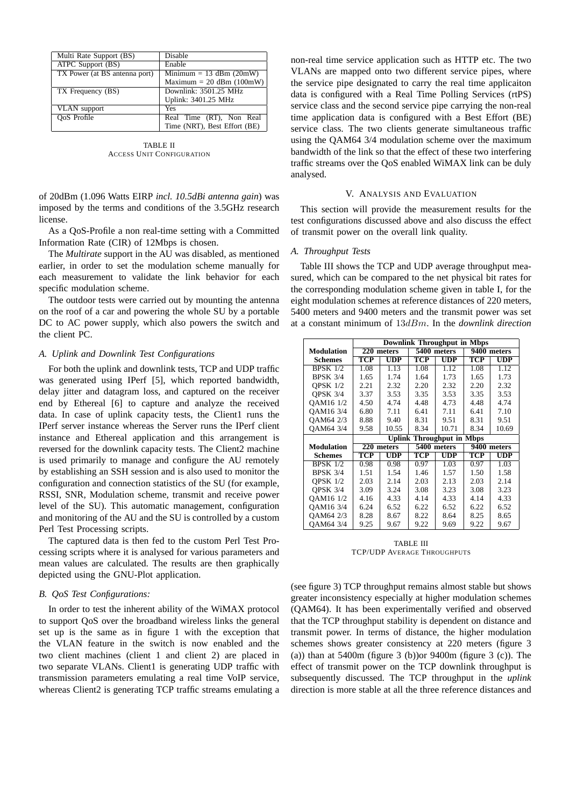| Multi Rate Support (BS)       | <b>Disable</b>               |  |  |  |
|-------------------------------|------------------------------|--|--|--|
| ATPC Support (BS)             | Enable                       |  |  |  |
| TX Power (at BS antenna port) | Minimum = $13$ dBm (20mW)    |  |  |  |
|                               | Maximum = $20$ dBm (100mW)   |  |  |  |
| TX Frequency (BS)             | Downlink: 3501.25 MHz        |  |  |  |
|                               | Uplink: 3401.25 MHz          |  |  |  |
| <b>VLAN</b> support           | Yes                          |  |  |  |
| OoS Profile                   | Real Time (RT), Non Real     |  |  |  |
|                               | Time (NRT), Best Effort (BE) |  |  |  |

TABLE II ACCESS UNIT CONFIGURATION

of 20dBm (1.096 Watts EIRP *incl. 10.5dBi antenna gain*) was imposed by the terms and conditions of the 3.5GHz research license.

As a QoS-Profile a non real-time setting with a Committed Information Rate (CIR) of 12Mbps is chosen.

The *Multirate* support in the AU was disabled, as mentioned earlier, in order to set the modulation scheme manually for each measurement to validate the link behavior for each specific modulation scheme.

The outdoor tests were carried out by mounting the antenna on the roof of a car and powering the whole SU by a portable DC to AC power supply, which also powers the switch and the client PC.

## *A. Uplink and Downlink Test Configurations*

For both the uplink and downlink tests, TCP and UDP traffic was generated using IPerf [5], which reported bandwidth, delay jitter and datagram loss, and captured on the receiver end by Ethereal [6] to capture and analyze the received data. In case of uplink capacity tests, the Client1 runs the IPerf server instance whereas the Server runs the IPerf client instance and Ethereal application and this arrangement is reversed for the downlink capacity tests. The Client2 machine is used primarily to manage and configure the AU remotely by establishing an SSH session and is also used to monitor the configuration and connection statistics of the SU (for example, RSSI, SNR, Modulation scheme, transmit and receive power level of the SU). This automatic management, configuration and monitoring of the AU and the SU is controlled by a custom Perl Test Processing scripts.

The captured data is then fed to the custom Perl Test Processing scripts where it is analysed for various parameters and mean values are calculated. The results are then graphically depicted using the GNU-Plot application.

## *B. QoS Test Configurations:*

In order to test the inherent ability of the WiMAX protocol to support QoS over the broadband wireless links the general set up is the same as in figure 1 with the exception that the VLAN feature in the switch is now enabled and the two client machines (client 1 and client 2) are placed in two separate VLANs. Client1 is generating UDP traffic with transmission parameters emulating a real time VoIP service, whereas Client<sub>2</sub> is generating TCP traffic streams emulating a

non-real time service application such as HTTP etc. The two VLANs are mapped onto two different service pipes, where the service pipe designated to carry the real time applicaiton data is configured with a Real Time Polling Services (rtPS) service class and the second service pipe carrying the non-real time application data is configured with a Best Effort (BE) service class. The two clients generate simultaneous traffic using the QAM64 3/4 modulation scheme over the maximum bandwidth of the link so that the effect of these two interfering traffic streams over the QoS enabled WiMAX link can be duly analysed.

## V. ANALYSIS AND EVALUATION

This section will provide the measurement results for the test configurations discussed above and also discuss the effect of transmit power on the overall link quality.

#### *A. Throughput Tests*

Table III shows the TCP and UDP average throughput measured, which can be compared to the net physical bit rates for the corresponding modulation scheme given in table I, for the eight modulation schemes at reference distances of 220 meters, 5400 meters and 9400 meters and the transmit power was set at a constant minimum of 13dBm. In the *downlink direction*

|                   | <b>Downlink Throughput in Mbps</b> |                                  |                |            |                |              |  |  |
|-------------------|------------------------------------|----------------------------------|----------------|------------|----------------|--------------|--|--|
| <b>Modulation</b> | 220 meters                         |                                  | 5400 meters    |            | 9400<br>meters |              |  |  |
| <b>Schemes</b>    | TCP                                | $\overline{\text{UP}}$           | TCP            | <b>UDP</b> | TCP            | <b>UDP</b>   |  |  |
| <b>BPSK 1/2</b>   | 1.08                               | 1.13                             | 1.08           | 1.12       | 1.08           | 1.12         |  |  |
| <b>BPSK 3/4</b>   | 1.65                               | 1.74                             | 1.64           | 1.73       | 1.65           | 1.73         |  |  |
| <b>OPSK 1/2</b>   | 2.21                               | 2.32                             | 2.20           | 2.32       | 2.20           | 2.32         |  |  |
| OPSK 3/4          | 3.37                               | 3.53                             | 3.35           | 3.53       | 3.35           | 3.53         |  |  |
| OAM16 1/2         | 4.50                               | 4.74                             | 4.48           | 4.73       | 4.48           | 4.74         |  |  |
| OAM16 3/4         | 6.80                               | 7.11                             | 6.41           | 7.11       | 6.41           | 7.10         |  |  |
| OAM64 2/3         | 8.88                               | 9.40                             | 8.31           | 9.51       | 8.31           | 9.51         |  |  |
| OAM64 3/4         | 9.58                               | 10.55                            | 8.34           | 10.71      | 8.34           | 10.69        |  |  |
|                   | <b>Uplink Throughput in Mbps</b>   |                                  |                |            |                |              |  |  |
| <b>Modulation</b> | $220$ meters                       |                                  | 5400<br>meters |            | 9400<br>meters |              |  |  |
| Schemes           | TCP                                | $\mathbf{U}\mathbf{D}\mathbf{P}$ | TCP            | <b>UDP</b> | TCP            | $_{\rm UDP}$ |  |  |
| <b>BPSK 1/2</b>   | 0.98                               | 0.98                             | 0.97           | 1.03       | 0.97           | 1.03         |  |  |
| <b>BPSK 3/4</b>   | 1.51                               | 1.54                             | 1.46           | 1.57       | 1.50           | 1.58         |  |  |
| <b>OPSK 1/2</b>   | 2.03                               | 2.14                             | 2.03           | 2.13       | 2.03           | 2.14         |  |  |
| OPSK 3/4          | 3.09                               | 3.24                             | 3.08           | 3.23       | 3.08           | 3.23         |  |  |
| QAM16 1/2         | 4.16                               | 4.33                             | 4.14           | 4.33       | 4.14           | 4.33         |  |  |
|                   |                                    |                                  |                |            |                |              |  |  |
| QAM16 3/4         | 6.24                               | 6.52                             | 6.22           | 6.52       | 6.22           | 6.52         |  |  |
| OAM64 2/3         | 8.28                               | 8.67                             | 8.22           | 8.64       | 8.25           | 8.65         |  |  |

TABLE III TCP/UDP AVERAGE THROUGHPUTS

(see figure 3) TCP throughput remains almost stable but shows greater inconsistency especially at higher modulation schemes (QAM64). It has been experimentally verified and observed that the TCP throughput stability is dependent on distance and transmit power. In terms of distance, the higher modulation schemes shows greater consistency at 220 meters (figure 3 (a)) than at  $5400m$  (figure 3 (b)) or  $9400m$  (figure 3 (c)). The effect of transmit power on the TCP downlink throughput is subsequently discussed. The TCP throughput in the *uplink* direction is more stable at all the three reference distances and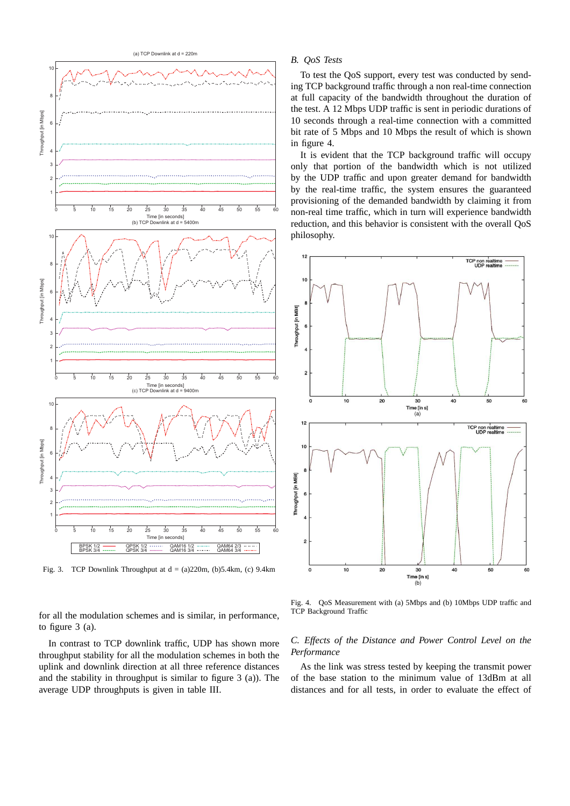

Fig. 3. TCP Downlink Throughput at  $d = (a)220m$ ,  $(b)5.4km$ ,  $(c)$  9.4km

for all the modulation schemes and is similar, in performance, to figure 3 (a).

In contrast to TCP downlink traffic, UDP has shown more throughput stability for all the modulation schemes in both the uplink and downlink direction at all three reference distances and the stability in throughput is similar to figure 3 (a)). The average UDP throughputs is given in table III.

## *B. QoS Tests*

To test the QoS support, every test was conducted by sending TCP background traffic through a non real-time connection at full capacity of the bandwidth throughout the duration of the test. A 12 Mbps UDP traffic is sent in periodic durations of 10 seconds through a real-time connection with a committed bit rate of 5 Mbps and 10 Mbps the result of which is shown in figure 4.

It is evident that the TCP background traffic will occupy only that portion of the bandwidth which is not utilized by the UDP traffic and upon greater demand for bandwidth by the real-time traffic, the system ensures the guaranteed provisioning of the demanded bandwidth by claiming it from non-real time traffic, which in turn will experience bandwidth reduction, and this behavior is consistent with the overall QoS philosophy.



Fig. 4. QoS Measurement with (a) 5Mbps and (b) 10Mbps UDP traffic and TCP Background Traffic

## *C. Effects of the Distance and Power Control Level on the Performance*

As the link was stress tested by keeping the transmit power of the base station to the minimum value of 13dBm at all distances and for all tests, in order to evaluate the effect of